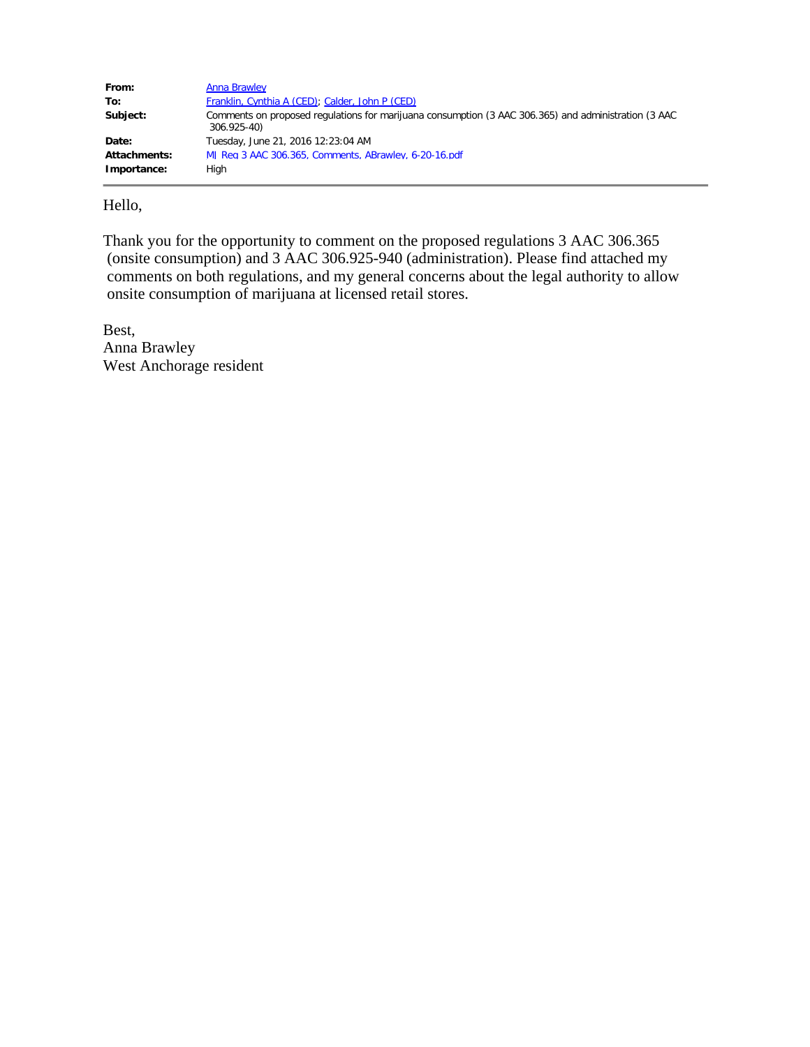| From:        | Anna Brawley                                                                                                        |
|--------------|---------------------------------------------------------------------------------------------------------------------|
| To:          | Franklin, Cynthia A (CED); Calder, John P (CED)                                                                     |
| Subject:     | Comments on proposed regulations for marijuana consumption (3 AAC 306.365) and administration (3 AAC<br>306.925-40) |
| Date:        | Tuesday, June 21, 2016 12:23:04 AM                                                                                  |
| Attachments: | MJ Reg 3 AAC 306.365, Comments, ABrawley, 6-20-16.pdf                                                               |
| Importance:  | High                                                                                                                |

Hello,

Thank you for the opportunity to comment on the proposed regulations 3 AAC 306.365 (onsite consumption) and 3 AAC 306.925-940 (administration). Please find attached my comments on both regulations, and my general concerns about the legal authority to allow onsite consumption of marijuana at licensed retail stores.

Best, Anna Brawley West Anchorage resident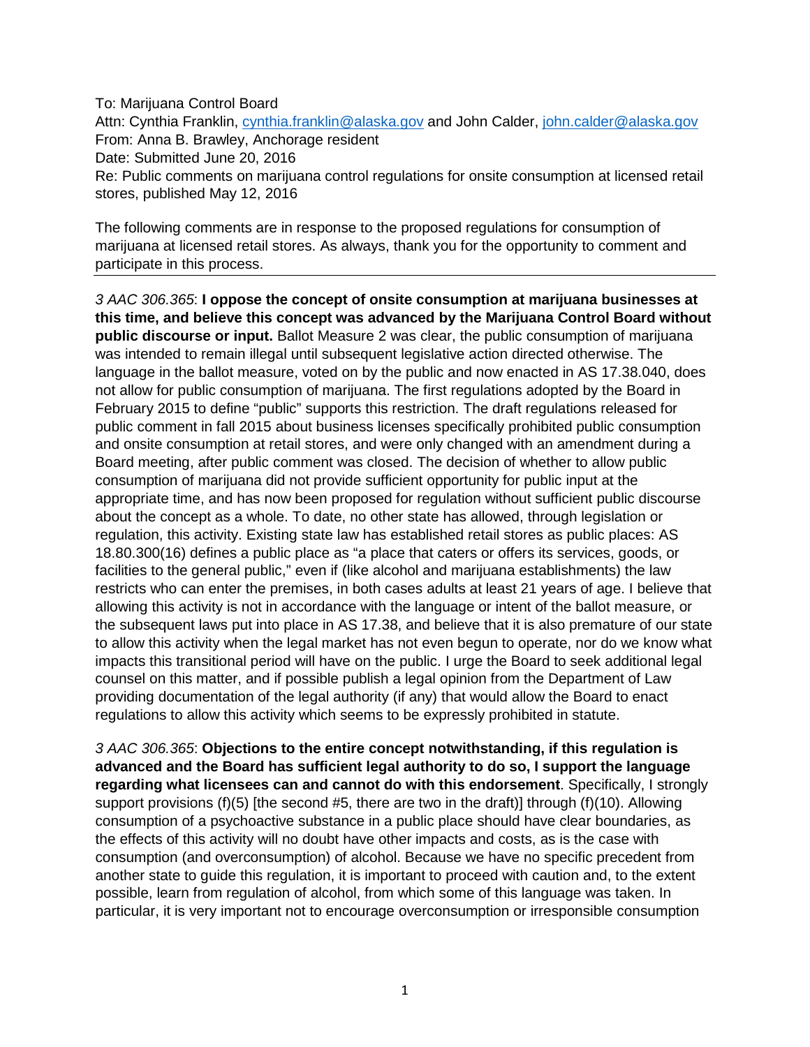To: Marijuana Control Board

Attn: Cynthia Franklin, [cynthia.franklin@alaska.gov](mailto:cynthia.franklin@alaska.gov) and John Calder, [john.calder@alaska.gov](mailto:john.calder@alaska.gov) From: Anna B. Brawley, Anchorage resident Date: Submitted June 20, 2016 Re: Public comments on marijuana control regulations for onsite consumption at licensed retail stores, published May 12, 2016

The following comments are in response to the proposed regulations for consumption of marijuana at licensed retail stores. As always, thank you for the opportunity to comment and participate in this process.

*3 AAC 306.365*: **I oppose the concept of onsite consumption at marijuana businesses at this time, and believe this concept was advanced by the Marijuana Control Board without public discourse or input.** Ballot Measure 2 was clear, the public consumption of marijuana was intended to remain illegal until subsequent legislative action directed otherwise. The language in the ballot measure, voted on by the public and now enacted in AS 17.38.040, does not allow for public consumption of marijuana. The first regulations adopted by the Board in February 2015 to define "public" supports this restriction. The draft regulations released for public comment in fall 2015 about business licenses specifically prohibited public consumption and onsite consumption at retail stores, and were only changed with an amendment during a Board meeting, after public comment was closed. The decision of whether to allow public consumption of marijuana did not provide sufficient opportunity for public input at the appropriate time, and has now been proposed for regulation without sufficient public discourse about the concept as a whole. To date, no other state has allowed, through legislation or regulation, this activity. Existing state law has established retail stores as public places: AS 18.80.300(16) defines a public place as "a place that caters or offers its services, goods, or facilities to the general public," even if (like alcohol and marijuana establishments) the law restricts who can enter the premises, in both cases adults at least 21 years of age. I believe that allowing this activity is not in accordance with the language or intent of the ballot measure, or the subsequent laws put into place in AS 17.38, and believe that it is also premature of our state to allow this activity when the legal market has not even begun to operate, nor do we know what impacts this transitional period will have on the public. I urge the Board to seek additional legal counsel on this matter, and if possible publish a legal opinion from the Department of Law providing documentation of the legal authority (if any) that would allow the Board to enact regulations to allow this activity which seems to be expressly prohibited in statute.

*3 AAC 306.365*: **Objections to the entire concept notwithstanding, if this regulation is advanced and the Board has sufficient legal authority to do so, I support the language regarding what licensees can and cannot do with this endorsement**. Specifically, I strongly support provisions (f)(5) [the second #5, there are two in the draft)] through (f)(10). Allowing consumption of a psychoactive substance in a public place should have clear boundaries, as the effects of this activity will no doubt have other impacts and costs, as is the case with consumption (and overconsumption) of alcohol. Because we have no specific precedent from another state to guide this regulation, it is important to proceed with caution and, to the extent possible, learn from regulation of alcohol, from which some of this language was taken. In particular, it is very important not to encourage overconsumption or irresponsible consumption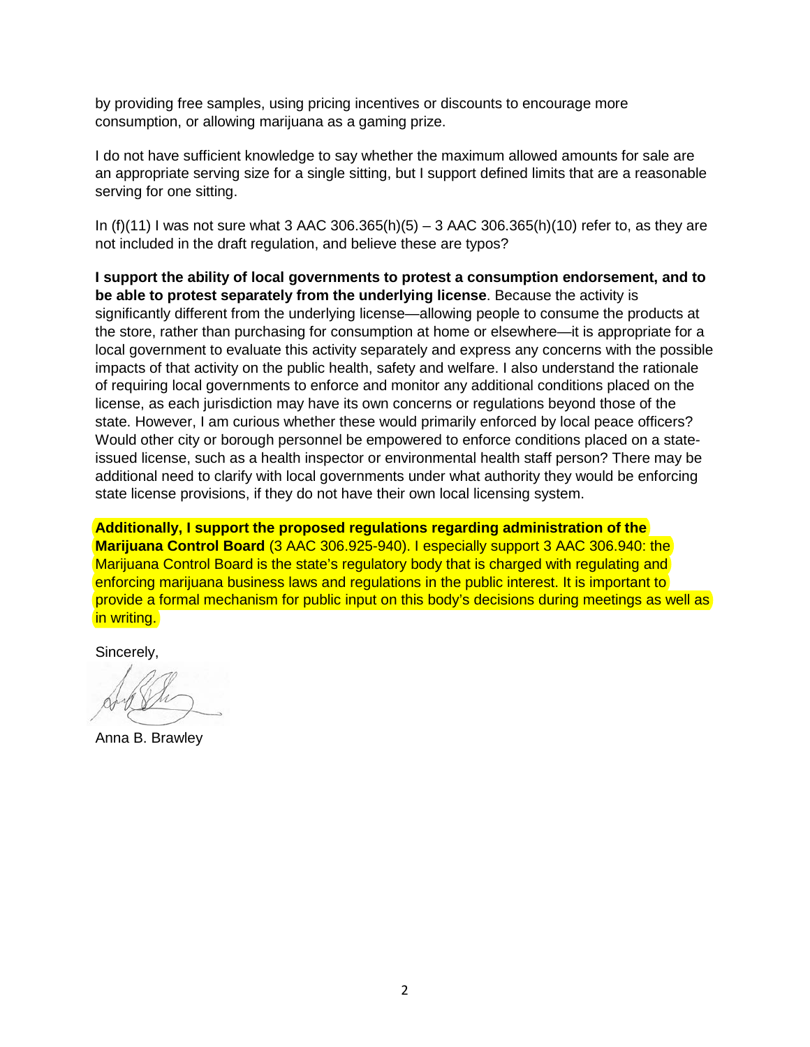by providing free samples, using pricing incentives or discounts to encourage more consumption, or allowing marijuana as a gaming prize.

I do not have sufficient knowledge to say whether the maximum allowed amounts for sale are an appropriate serving size for a single sitting, but I support defined limits that are a reasonable serving for one sitting.

In (f)(11) I was not sure what 3 AAC 306.365(h)(5) – 3 AAC 306.365(h)(10) refer to, as they are not included in the draft regulation, and believe these are typos?

**I support the ability of local governments to protest a consumption endorsement, and to be able to protest separately from the underlying license**. Because the activity is significantly different from the underlying license—allowing people to consume the products at the store, rather than purchasing for consumption at home or elsewhere—it is appropriate for a local government to evaluate this activity separately and express any concerns with the possible impacts of that activity on the public health, safety and welfare. I also understand the rationale of requiring local governments to enforce and monitor any additional conditions placed on the license, as each jurisdiction may have its own concerns or regulations beyond those of the state. However, I am curious whether these would primarily enforced by local peace officers? Would other city or borough personnel be empowered to enforce conditions placed on a stateissued license, such as a health inspector or environmental health staff person? There may be additional need to clarify with local governments under what authority they would be enforcing state license provisions, if they do not have their own local licensing system.

**Additionally, I support the proposed regulations regarding administration of the Marijuana Control Board** (3 AAC 306.925-940). I especially support 3 AAC 306.940: the Marijuana Control Board is the state's regulatory body that is charged with regulating and enforcing marijuana business laws and regulations in the public interest. It is important to provide a formal mechanism for public input on this body's decisions during meetings as well as in writing.

Sincerely,

Anna B. Brawley